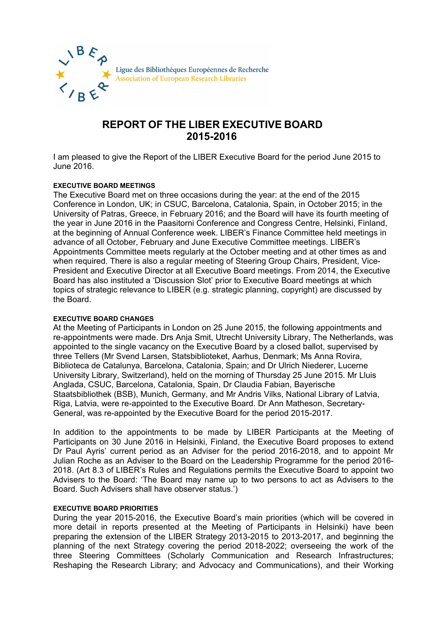

# **REPORT OF THE LIBER EXECUTIVE BOARD 2015-2016**

I am pleased to give the Report of the LIBER Executive Board for the period June 2015 to June 2016.

## **EXECUTIVE BOARD MEETINGS**

The Executive Board met on three occasions during the year: at the end of the 2015 Conference in London, UK; in CSUC, Barcelona, Catalonia, Spain, in October 2015; in the University of Patras, Greece, in February 2016; and the Board will have its fourth meeting of the year in June 2016 in the Paasitorni Conference and Congress Centre, Helsinki, Finland, at the beginning of Annual Conference week. LIBER's Finance Committee held meetings in advance of all October, February and June Executive Committee meetings. LIBER's Appointments Committee meets regularly at the October meeting and at other times as and when required. There is also a reqular meeting of Steering Group Chairs, President, Vice-President and Executive Director at all Executive Board meetings. From 2014, the Executive Board has also instituted a 'Discussion Slot' prior to Executive Board meetings at which topics of strategic relevance to LIBER (e.g. strategic planning, copyright) are discussed by the Board.

### **EXECUTIVE BOARD CHANGES**

At the Meeting of Participants in London on 25 June 2015, the following appointments and re-appointments were made. Drs Anja Smit, Utrecht University Library, The Netherlands, was appointed to the single vacancy on the Executive Board by a closed ballot, supervised by three Tellers (Mr Svend Larsen, Statsbiblioteket, Aarhus, Denmark; Ms Anna Rovira, Biblioteca de Catalunya, Barcelona, Catalonia, Spain; and Dr Ulrich Niederer, Lucerne University Library, Switzerland), held on the morning of Thursday 25 June 2015. Mr Lluis Anglada, CSUC, Barcelona, Catalonia, Spain, Dr Claudia Fabian, Bayerische Staatsbibliothek (BSB), Munich, Germany, and Mr Andris Vilks, National Library of Latvia, Riga, Latvia, were re-appointed to the Executive Board. Dr Ann Matheson, Secretary-General, was re-appointed by the Executive Board for the period 2015-2017.

In addition to the appointments to be made by LIBER Participants at the Meeting of Participants on 30 June 2016 in Helsinki, Finland, the Executive Board proposes to extend Dr Paul Ayris' current period as an Adviser for the period 2016-2018, and to appoint Mr Julian Roche as an Adviser to the Board on the Leadership Programme for the period 2016- 2018. (Art 8.3 of LIBER's Rules and Regulations permits the Executive Board to appoint two Advisers to the Board: 'The Board may name up to two persons to act as Advisers to the Board. Such Advisers shall have observer status.')

### **EXECUTIVE BOARD PRIORITIES**

During the year 2015-2016, the Executive Board's main priorities (which will be covered in more detail in reports presented at the Meeting of Participants in Helsinki) have been preparing the extension of the LIBER Strategy 2013-2015 to 2013-2017, and beginning the planning of the next Strategy covering the period 2018-2022; overseeing the work of the three Steering Committees (Scholarly Communication and Research Infrastructures; Reshaping the Research Library; and Advocacy and Communications), and their Working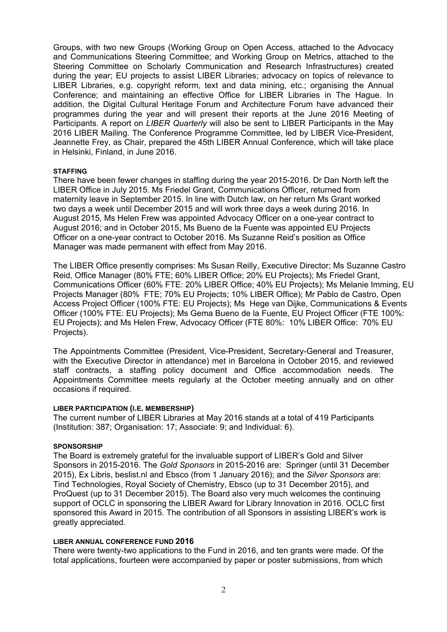Groups, with two new Groups (Working Group on Open Access, attached to the Advocacy and Communications Steering Committee; and Working Group on Metrics, attached to the Steering Committee on Scholarly Communication and Research Infrastructures) created during the year; EU projects to assist LIBER Libraries; advocacy on topics of relevance to LIBER Libraries, e.g. copyright reform, text and data mining, etc.; organising the Annual Conference; and maintaining an effective Office for LIBER Libraries in The Hague. In addition, the Digital Cultural Heritage Forum and Architecture Forum have advanced their programmes during the year and will present their reports at the June 2016 Meeting of Participants. A report on *LIBER Quarterly* will also be sent to LIBER Participants in the May 2016 LIBER Mailing. The Conference Programme Committee, led by LIBER Vice-President, Jeannette Frey, as Chair, prepared the 45th LIBER Annual Conference, which will take place in Helsinki, Finland, in June 2016.

### **STAFFING**

There have been fewer changes in staffing during the year 2015-2016. Dr Dan North left the LIBER Office in July 2015. Ms Friedel Grant, Communications Officer, returned from maternity leave in September 2015. In line with Dutch law, on her return Ms Grant worked two days a week until December 2015 and will work three days a week during 2016. In August 2015, Ms Helen Frew was appointed Advocacy Officer on a one-year contract to August 2016; and in October 2015, Ms Bueno de la Fuente was appointed EU Projects Officer on a one-year contract to October 2016. Ms Suzanne Reid's position as Office Manager was made permanent with effect from May 2016.

The LIBER Office presently comprises: Ms Susan Reilly, Executive Director; Ms Suzanne Castro Reid, Office Manager (80% FTE; 60% LIBER Office; 20% EU Projects); Ms Friedel Grant, Communications Officer (60% FTE: 20% LIBER Office; 40% EU Projects); Ms Melanie Imming, EU Projects Manager (80% FTE; 70% EU Projects; 10% LIBER Office); Mr Pablo de Castro, Open Access Project Officer (100% FTE: EU Projects); Ms Hege van Dijke, Communications & Events Officer (100% FTE: EU Projects); Ms Gema Bueno de la Fuente, EU Project Officer (FTE 100%: EU Projects); and Ms Helen Frew, Advocacy Officer (FTE 80%: 10% LIBER Office: 70% EU Projects).

The Appointments Committee (President, Vice-President, Secretary-General and Treasurer, with the Executive Director in attendance) met in Barcelona in October 2015, and reviewed staff contracts, a staffing policy document and Office accommodation needs. The Appointments Committee meets regularly at the October meeting annually and on other occasions if required.

### **LIBER PARTICIPATION (I.E. MEMBERSHIP)**

The current number of LIBER Libraries at May 2016 stands at a total of 419 Participants (Institution: 387; Organisation: 17; Associate: 9; and Individual: 6).

### **SPONSORSHIP**

The Board is extremely grateful for the invaluable support of LIBER's Gold and Silver Sponsors in 2015-2016. The *Gold Sponsors* in 2015-2016 are: Springer (until 31 December 2015), Ex Libris, beslist.nl and Ebsco (from 1 January 2016); and the *Silver Sponsors* are: Tind Technologies, Royal Society of Chemistry, Ebsco (up to 31 December 2015), and ProQuest (up to 31 December 2015). The Board also very much welcomes the continuing support of OCLC in sponsoring the LIBER Award for Library Innovation in 2016. OCLC first sponsored this Award in 2015. The contribution of all Sponsors in assisting LIBER's work is greatly appreciated.

### **LIBER ANNUAL CONFERENCE FUND 2016**

There were twenty-two applications to the Fund in 2016, and ten grants were made. Of the total applications, fourteen were accompanied by paper or poster submissions, from which